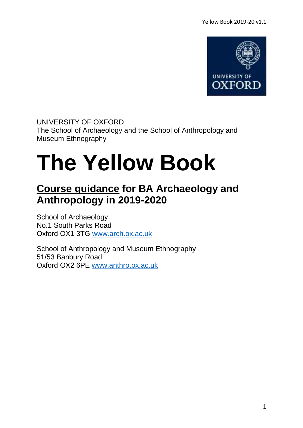

UNIVERSITY OF OXFORD The School of Archaeology and the School of Anthropology and Museum Ethnography

# **The Yellow Book**

# **Course guidance for BA Archaeology and Anthropology in 2019-2020**

School of Archaeology No.1 South Parks Road Oxford OX1 3TG [www.arch.ox.ac.uk](http://www.arch.ox.ac.uk/)

School of Anthropology and Museum Ethnography 51/53 Banbury Road Oxford OX2 6PE [www.anthro.ox.ac.uk](http://www.anthro.ox.ac.uk/)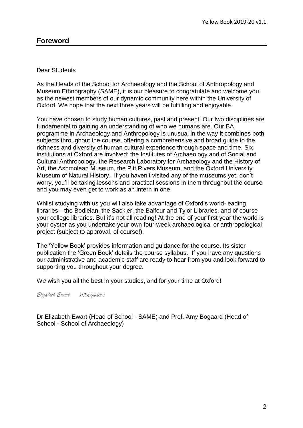#### Dear Students

As the Heads of the School for Archaeology and the School of Anthropology and Museum Ethnography (SAME), it is our pleasure to congratulate and welcome you as the newest members of our dynamic community here within the University of Oxford. We hope that the next three years will be fulfilling and enjoyable.

You have chosen to study human cultures, past and present. Our two disciplines are fundamental to gaining an understanding of who we humans are. Our BA programme in Archaeology and Anthropology is unusual in the way it combines both subjects throughout the course, offering a comprehensive and broad guide to the richness and diversity of human cultural experience through space and time. Six institutions at Oxford are involved: the Institutes of Archaeology and of Social and Cultural Anthropology, the Research Laboratory for Archaeology and the History of Art, the Ashmolean Museum, the Pitt Rivers Museum, and the Oxford University Museum of Natural History. If you haven't visited any of the museums yet, don't worry, you'll be taking lessons and practical sessions in them throughout the course and you may even get to work as an intern in one.

Whilst studying with us you will also take advantage of Oxford's world-leading libraries—the Bodleian, the Sackler, the Balfour and Tylor Libraries, and of course your college libraries. But it's not all reading! At the end of your first year the world is your oyster as you undertake your own four-week archaeological or anthropological project (subject to approval, of course!).

The 'Yellow Book' provides information and guidance for the course. Its sister publication the 'Green Book' details the course syllabus. If you have any questions our administrative and academic staff are ready to hear from you and look forward to supporting you throughout your degree.

We wish you all the best in your studies, and for your time at Oxford!

*Elizabeth Ewart* ABogaard

Dr Elizabeth Ewart (Head of School - SAME) and Prof. Amy Bogaard (Head of School - School of Archaeology)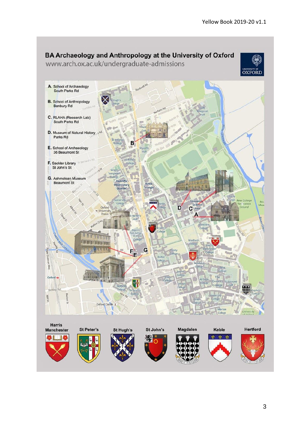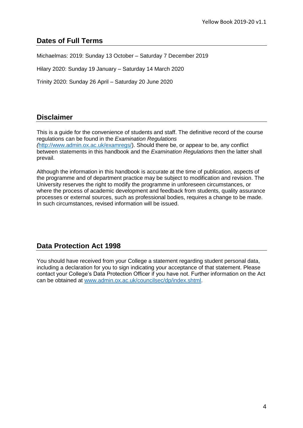## **Dates of Full Terms**

Michaelmas: 2019: Sunday 13 October – Saturday 7 December 2019

Hilary 2020: Sunday 19 January – Saturday 14 March 2020

Trinity 2020: Sunday 26 April – Saturday 20 June 2020

## **Disclaimer**

This is a guide for the convenience of students and staff. The definitive record of the course regulations can be found in the *Examination Regulations (*[http://www.admin.ox.ac.uk/examregs/\)](http://www.admin.ox.ac.uk/examregs/). Should there be, or appear to be, any conflict between statements in this handbook and the *Examination Regulations* then the latter shall prevail.

Although the information in this handbook is accurate at the time of publication, aspects of the programme and of department practice may be subject to modification and revision. The University reserves the right to modify the programme in unforeseen circumstances, or where the process of academic development and feedback from students, quality assurance processes or external sources, such as professional bodies, requires a change to be made. In such circumstances, revised information will be issued.

## **Data Protection Act 1998**

<span id="page-3-0"></span>You should have received from your College a statement regarding student personal data, including a declaration for you to sign indicating your acceptance of that statement. Please contact your College's Data Protection Officer if you have not. Further information on the Act can be obtained at [www.admin.ox.ac.uk/councilsec/dp/index.shtml.](http://www.admin.ox.ac.uk/councilsec/dp/index.shtml)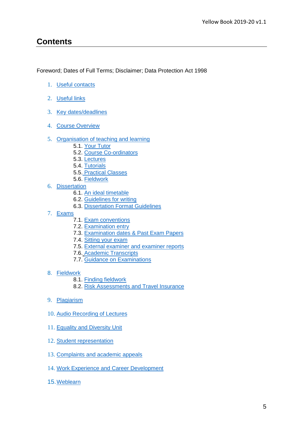## **Contents**

Foreword; Dates of Full Terms; Disclaimer; Data Protection Act 1998

- 1. [Useful contacts](#page-5-0)
- 2. [Useful links](#page-5-1)
- 3. [Key dates/deadlines](#page-6-0)
- 4. [Course Overview](#page-7-0)
- 5. [Organisation of teaching and learning](#page-8-0)
	- 5.1. [Your Tutor](#page-9-0)
	- 5.2. [Course Co-ordinators](#page-10-0)
	- 5.3. [Lectures](#page-11-0)
	- 5.4. [Tutorials](#page-10-1)
	- 5.5. [Practical Classes](#page-11-1)
	- 5.6. [Fieldwork](#page-12-0)
- 6. [Dissertation](#page-14-0)
	- 6.1. [An ideal timetable](#page-14-1)
	- 6.2. [Guidelines for writing](#page-15-0)
	- 6.3. [Dissertation Format Guidelines](#page-17-0)
- 7. [Exams](#page-19-0)
	- 7.1. [Exam conventions](#page-20-0)
	- 7.2. [Examination entry](#page-20-1)
	- 7.3. [Examination dates & Past Exam Papers](#page-20-2)
	- 7.4. [Sitting your exam](#page-20-3)
	- 7.5. [External examiner and examiner reports](#page-20-4)
	- 7.6. [Academic Transcripts](#page-19-0)
	- 7.7. [Guidance on Examinations](#page-21-0)
- 8. [Fieldwork](#page-24-0)
	- [8.1. Finding fieldwork](#page-24-1)
	- [8.2. Risk Assessments and Travel Insurance](#page-24-2)
- 9. [Plagiarism](#page-26-0)
- 10. [Audio Recording of Lectures](#page-27-0)
- 11. [Equality and Diversity Unit](#page-28-0)
- 12. [Student representation](#page-29-0)
- 13. [Complaints and academic appeals](#page-30-0)
- 14. [Work Experience and Career Development](#page-31-0)
- 15.[Weblearn](#page-32-0)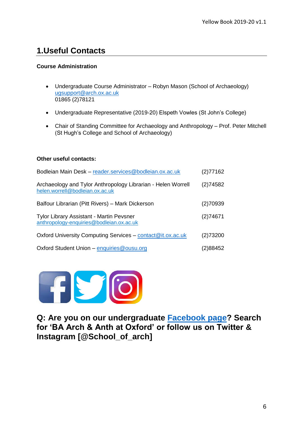## <span id="page-5-0"></span>**1.Useful Contacts**

#### **Course Administration**

- Undergraduate Course Administrator Robyn Mason (School of Archaeology) [ugsupport@arch.ox.ac.uk](mailto:ugsupport@arch.ox.ac.uk) 01865 (2)78121
- Undergraduate Representative (2019-20) Elspeth Vowles (St John's College)
- Chair of Standing Committee for Archaeology and Anthropology Prof. Peter Mitchell (St Hugh's College and School of Archaeology)

#### **Other useful contacts:**

| Bodleian Main Desk - reader.services@bodleian.ox.ac.uk                                          | (2)77162 |
|-------------------------------------------------------------------------------------------------|----------|
| Archaeology and Tylor Anthropology Librarian - Helen Worrell<br>helen.worrell@bodleian.ox.ac.uk | (2)74582 |
| Balfour Librarian (Pitt Rivers) - Mark Dickerson                                                | (2)70939 |
| <b>Tylor Library Assistant - Martin Pevsner</b><br>anthropology-enquiries@bodleian.ox.ac.uk     | (2)74671 |
| Oxford University Computing Services - contact@it.ox.ac.uk                                      | (2)73200 |
| Oxford Student Union - enquiries@ousu.org                                                       | (2)88452 |



<span id="page-5-1"></span>**Q: Are you on our undergraduate [Facebook page?](https://www.facebook.com/groups/926669227477402/) Search for 'BA Arch & Anth at Oxford' or follow us on Twitter & Instagram [@School\_of\_arch]**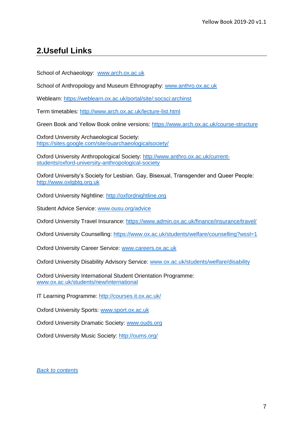## **2.Useful Links**

School of Archaeology: [www.arch.ox.ac.uk](http://www.arch.ox.ac.uk/)

School of Anthropology and Museum Ethnography: [www.anthro.ox.ac.uk](http://www.anthro.ox.ac.uk/)

Weblearn:<https://weblearn.ox.ac.uk/portal/site/:socsci:archinst>

Term timetables:<http://www.arch.ox.ac.uk/lecture-list.html>

Green Book and Yellow Book online versions: <https://www.arch.ox.ac.uk/course-structure>

Oxford University Archaeological Society: <https://sites.google.com/site/ouarchaeologicalsociety/>

Oxford University Anthropological Society: [http://www.anthro.ox.ac.uk/current](http://www.anthro.ox.ac.uk/current-students/oxford-university-anthropological-society)[students/oxford-university-anthropological-society](http://www.anthro.ox.ac.uk/current-students/oxford-university-anthropological-society)

Oxford University's Society for Lesbian. Gay, Bisexual, Transgender and Queer People: [http://www.oxlgbtq.org.uk](http://www.oxlgbtq.org.uk/)

Oxford University Nightline: [http://oxfordnightline.org](http://oxfordnightline.org/)

Student Advice Service: [www.ousu.org/advice](http://www.ousu.org/advice)

Oxford University Travel Insurance:<https://www.admin.ox.ac.uk/finance/insurance/travel/>

Oxford University Counselling:<https://www.ox.ac.uk/students/welfare/counselling?wssl=1>

Oxford University Career Service: [www.careers.ox.ac.uk](http://www.careers.ox.ac.uk/)

Oxford University Disability Advisory Service: [www.ox.ac.uk/students/welfare/disability](http://www.ox.ac.uk/students/welfare/disability)

Oxford University International Student Orientation Programme: [www.ox.ac.uk/students/new/international](http://www.ox.ac.uk/students/new/international)

IT Learning Programme:<http://courses.it.ox.ac.uk/>

Oxford University Sports: [www.sport.ox.ac.uk](http://www.sport.ox.ac.uk/)

Oxford University Dramatic Society: [www.ouds.org](http://www.ouds.org/)

<span id="page-6-0"></span>Oxford University Music Society:<http://oums.org/>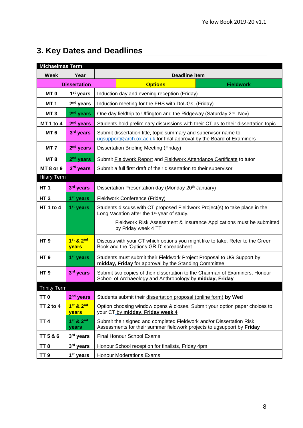# **3. Key Dates and Deadlines**

<span id="page-7-0"></span>

| <b>Michaelmas Term</b> |                       |                                                                                                                                                |                      |                  |  |
|------------------------|-----------------------|------------------------------------------------------------------------------------------------------------------------------------------------|----------------------|------------------|--|
| <b>Week</b>            | Year                  |                                                                                                                                                | <b>Deadline item</b> |                  |  |
| <b>Dissertation</b>    |                       |                                                                                                                                                | <b>Options</b>       | <b>Fieldwork</b> |  |
| MT <sub>0</sub>        | 1 <sup>st</sup> years | Induction day and evening reception (Friday)                                                                                                   |                      |                  |  |
| MT <sub>1</sub>        | $2nd$ years           | Induction meeting for the FHS with DoUGs, (Friday)                                                                                             |                      |                  |  |
| MT <sub>3</sub>        | $2nd$ years           | One day fieldtrip to Uffington and the Ridgeway (Saturday 2 <sup>nd</sup> Nov)                                                                 |                      |                  |  |
| <b>MT 1 to 4</b>       | $2nd$ years           | Students hold preliminary discussions with their CT as to their dissertation topic                                                             |                      |                  |  |
| MT <sub>6</sub>        | 3rd years             | Submit dissertation title, topic summary and supervisor name to<br>ugsupport@arch.ox.ac.uk for final approval by the Board of Examiners        |                      |                  |  |
| MT 7                   | $2nd$ years           | Dissertation Briefing Meeting (Friday)                                                                                                         |                      |                  |  |
| MT 8                   | $2nd$ years           | Submit Fieldwork Report and Fieldwork Attendance Certificate to tutor                                                                          |                      |                  |  |
| MT <sub>8</sub> or 9   | 3 <sup>rd</sup> years | Submit a full first draft of their dissertation to their supervisor                                                                            |                      |                  |  |
| <b>Hilary Term</b>     |                       |                                                                                                                                                |                      |                  |  |
| HT <sub>1</sub>        | 3rd years             | Dissertation Presentation day (Monday 20 <sup>th</sup> January)                                                                                |                      |                  |  |
| <b>HT2</b>             | 1 <sup>st</sup> years | Fieldwork Conference (Friday)                                                                                                                  |                      |                  |  |
| <b>HT 1 to 4</b>       | 1 <sup>st</sup> years | Students discuss with CT proposed Fieldwork Project(s) to take place in the<br>Long Vacation after the 1 <sup>st</sup> year of study.          |                      |                  |  |
|                        |                       | Fieldwork Risk Assessment & Insurance Applications must be submitted<br>by Friday week 4 TT                                                    |                      |                  |  |
| HT <sub>9</sub>        | 1st & 2nd<br>years    | Discuss with your CT which options you might like to take. Refer to the Green<br>Book and the 'Options GRID' spreadsheet.                      |                      |                  |  |
| HT <sub>9</sub>        | $1st$ years           | Students must submit their <b>Fieldwork Project Proposal</b> to UG Support by<br>midday, Friday for approval by the Standing Committee         |                      |                  |  |
| HT <sub>9</sub>        | 3rd years             | Submit two copies of their dissertation to the Chairman of Examiners, Honour<br>School of Archaeology and Anthropology by midday, Friday       |                      |                  |  |
| <b>Trinity Term</b>    |                       |                                                                                                                                                |                      |                  |  |
| TT <sub>0</sub>        | 2 <sup>nd</sup> years | Students submit their dissertation proposal (online form) by Wed                                                                               |                      |                  |  |
| TT 2 to 4              | 1st & 2nd<br>years    | Option choosing window opens & closes. Submit your option paper choices to<br>your CT by midday, Friday week 4                                 |                      |                  |  |
| TT <sub>4</sub>        | 1st & 2nd<br>years    | Submit their signed and completed Fieldwork and/or Dissertation Risk<br>Assessments for their summer fieldwork projects to ugsupport by Friday |                      |                  |  |
| <b>TT 5 &amp; 6</b>    | 3rd years             | <b>Final Honour School Exams</b>                                                                                                               |                      |                  |  |
| TT <sub>8</sub>        | 3rd years             | Honour School reception for finalists, Friday 4pm                                                                                              |                      |                  |  |
| TT <sub>9</sub>        | $1st$ years           | <b>Honour Moderations Exams</b>                                                                                                                |                      |                  |  |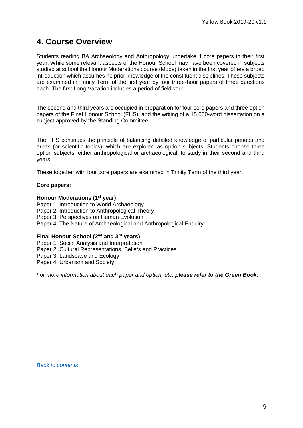## **4. Course Overview**

Students reading BA Archaeology and Anthropology undertake 4 core papers in their first year. While some relevant aspects of the Honour School may have been covered in subjects studied at school the Honour Moderations course (Mods) taken in the first year offers a broad introduction which assumes no prior knowledge of the constituent disciplines. These subjects are examined in Trinity Term of the first year by four three-hour papers of three questions each. The first Long Vacation includes a period of fieldwork.

The second and third years are occupied in preparation for four core papers and three option papers of the Final Honour School (FHS), and the writing of a 15,000-word dissertation on a subject approved by the Standing Committee.

The FHS continues the principle of balancing detailed knowledge of particular periods and areas (or scientific topics), which are explored as option subjects. Students choose three option subjects, either anthropological or archaeological, to study in their second and third years.

These together with four core papers are examined in Trinity Term of the third year.

#### **Core papers:**

#### **Honour Moderations (1st year)**

Paper 1. Introduction to World Archaeology Paper 2. Introduction to Anthropological Theory Paper 3. Perspectives on Human Evolution Paper 4. The Nature of Archaeological and Anthropological Enquiry

#### **Final Honour School (2nd and 3rd years)**

Paper 1. Social Analysis and Interpretation Paper 2. Cultural Representations, Beliefs and Practices Paper 3. Landscape and Ecology Paper 4. Urbanism and Society

<span id="page-8-0"></span>*For more information about each paper and option, etc. please refer to the Green Book***.**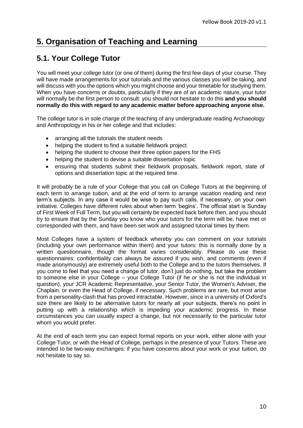## **5. Organisation of Teaching and Learning**

## <span id="page-9-0"></span>**5.1. Your College Tutor**

You will meet your college tutor (or one of them) during the first few days of your course. They will have made arrangements for your tutorials and the various classes you will be taking, and will discuss with you the options which you might choose and your timetable for studying them. When you have concerns or doubts, particularly if they are of an academic nature, your tutor will normally be the first person to consult: you should not hesitate to do this **and you should normally do this with regard to any academic matter before approaching anyone else.**

The college tutor is in sole charge of the teaching of any undergraduate reading Archaeology and Anthropology in his or her college and that includes:

- arranging all the tutorials the student needs
- helping the student to find a suitable fieldwork project
- helping the student to choose their three option papers for the FHS
- helping the student to devise a suitable dissertation topic
- ensuring that students submit their fieldwork proposals, fieldwork report, slate of options and dissertation topic at the required time.

It will probably be a rule of your College that you call on College Tutors at the beginning of each term to arrange tuition, and at the end of term to arrange vacation reading and next term's subjects. In any case it would be wise to pay such calls, if necessary, on your own initiative. Colleges have different rules about when term 'begins'. The official start is Sunday of First Week of Full Term, but you will certainly be expected back before then, and you should try to ensure that by the Sunday you know who your tutors for the term will be, have met or corresponded with them, and have been set work and assigned tutorial times by them.

Most Colleges have a system of feedback whereby you can comment on your tutorials (including your own performance within them) and your tutors: this is normally done by a written questionnaire, though the format varies considerably. Please do use these questionnaires: confidentiality can always be assured if you wish, and comments (even if made anonymously) are extremely useful both to the College and to the tutors themselves. If you come to feel that you need a change of tutor, don't just do nothing, but take the problem to someone else in your College – your College Tutor (if he or she is not the individual in question), your JCR Academic Representative, your Senior Tutor, the Women's Adviser, the Chaplain, or even the Head of College, if necessary. Such problems are rare, but most arise from a personality-clash that has proved intractable. However, since in a university of Oxford's size there are likely to be alternative tutors for nearly all your subjects, there's no point in putting up with a relationship which is impeding your academic progress. In these circumstances you can usually expect a change, but not necessarily to the particular tutor whom you would prefer.

At the end of each term you can expect formal reports on your work, either alone with your College Tutor, or with the Head of College, perhaps in the presence of your Tutors. These are intended to be two-way exchanges: if you have concerns about your work or your tuition, do not hesitate to say so.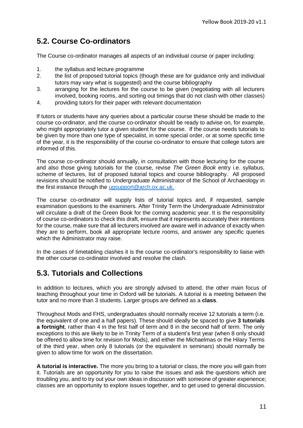## <span id="page-10-0"></span>**5.2. Course Co-ordinators**

The Course co-ordinator manages all aspects of an individual course or paper including:

- 1. the syllabus and lecture programme
- 2. the list of proposed tutorial topics (though these are for guidance only and individual tutors may vary what is suggested) and the course bibliography
- 3. arranging for the lectures for the course to be given (negotiating with all lecturers involved, booking rooms, and sorting out timings that do not clash with other classes)
- 4. providing tutors for their paper with relevant documentation

If tutors or students have any queries about a particular course these should be made to the course co-ordinator, and the course co-ordinator should be ready to advise on, for example, who might appropriately tutor a given student for the course. If the course needs tutorials to be given by more than one type of specialist, in some special order, or at some specific time of the year, it is the responsibility of the course co-ordinator to ensure that college tutors are informed of this.

The course co-ordinator should annually, in consultation with those lecturing for the course and also those giving tutorials for the course, revise *The Green Book* entry i.e. syllabus, scheme of lectures, list of proposed tutorial topics and course bibliography. All proposed revisions should be notified to Undergraduate Administrator of the School of Archaeology in the first instance through the [ugsupport@arch.ox.ac.uk.](mailto:ugsupport@arch.ox.ac.uk)

The course co-ordinator will supply lists of tutorial topics and, if requested, sample examination questions to the examiners. After Trinity Term the Undergraduate Administrator will circulate a draft of the Green Book for the coming academic year. It is the responsibility of course co-ordinators to check this draft, ensure that it represents accurately their intentions for the course, make sure that all lecturers involved are aware well in advance of exactly when they are to perform, book all appropriate lecture rooms, and answer any specific queries which the Administrator may raise.

In the cases of timetabling clashes it is the course co-ordinator's responsibility to liaise with the other course co-ordinator involved and resolve the clash.

## <span id="page-10-1"></span>**5.3. Tutorials and Collections**

In addition to lectures, which you are strongly advised to attend, the other main focus of teaching throughout your time in Oxford will be tutorials. A tutorial is a meeting between the tutor and no more than 3 students. Larger groups are defined as a **class**.

Throughout Mods and FHS, undergraduates should normally receive 12 tutorials a term (i.e. the equivalent of one and a half papers). These should ideally be spaced to give **3 tutorials a fortnight**, rather than 4 in the first half of term and 8 in the second half of term. The only exceptions to this are likely to be in Trinity Term of a student's first year (when 8 only should be offered to allow time for revision for Mods), and either the Michaelmas or the Hilary Terms of the third year, when only 8 tutorials (or the equivalent in seminars) should normally be given to allow time for work on the dissertation.

**A tutorial is interactive.** The more you bring to a tutorial or class, the more you will gain from it. Tutorials are an opportunity for you to raise the issues and ask the questions which are troubling you, and to try out your own ideas in discussion with someone of greater experience; classes are an opportunity to explore issues together, and to get used to general discussion.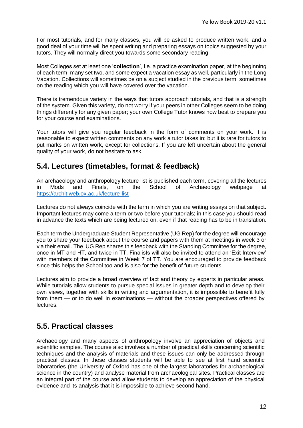For most tutorials, and for many classes, you will be asked to produce written work, and a good deal of your time will be spent writing and preparing essays on topics suggested by your tutors. They will normally direct you towards some secondary reading.

Most Colleges set at least one '**collection**', i.e. a practice examination paper, at the beginning of each term; many set two, and some expect a vacation essay as well, particularly in the Long Vacation. Collections will sometimes be on a subject studied in the previous term, sometimes on the reading which you will have covered over the vacation.

There is tremendous variety in the ways that tutors approach tutorials, and that is a strength of the system. Given this variety, do not worry if your peers in other Colleges seem to be doing things differently for any given paper; your own College Tutor knows how best to prepare you for your course and examinations.

Your tutors will give you regular feedback in the form of comments on your work. It is reasonable to expect written comments on any work a tutor takes in; but it is rare for tutors to put marks on written work, except for collections. If you are left uncertain about the general quality of your work, do not hesitate to ask.

## <span id="page-11-0"></span>**5.4. Lectures (timetables, format & feedback)**

An archaeology and anthropology lecture list is published each term, covering all the lectures in Mods and Finals, on the School of Archaeology webpage at <https://archit.web.ox.ac.uk/lecture-list>

Lectures do not always coincide with the term in which you are writing essays on that subject. Important lectures may come a term or two before your tutorials; in this case you should read in advance the texts which are being lectured on, even if that reading has to be in translation.

Each term the Undergraduate Student Representative (UG Rep) for the degree will encourage you to share your feedback about the course and papers with them at meetings in week 3 or via their email. The UG Rep shares this feedback with the Standing Committee for the degree, once in MT and HT, and twice in TT. Finalists will also be invited to attend an 'Exit Interview' with members of the Committee in Week 7 of TT. You are encouraged to provide feedback since this helps the School too and is also for the benefit of future students.

Lectures aim to provide a broad overview of fact and theory by experts in particular areas. While tutorials allow students to pursue special issues in greater depth and to develop their own views, together with skills in writing and argumentation, it is impossible to benefit fully from them — or to do well in examinations — without the broader perspectives offered by lectures.

## <span id="page-11-1"></span>**5.5. Practical classes**

Archaeology and many aspects of anthropology involve an appreciation of objects and scientific samples. The course also involves a number of practical skills concerning scientific techniques and the analysis of materials and these issues can only be addressed through practical classes. In these classes students will be able to see at first hand scientific laboratories (the University of Oxford has one of the largest laboratories for archaeological science in the country) and analyse material from archaeological sites. Practical classes are an integral part of the course and allow students to develop an appreciation of the physical evidence and its analysis that it is impossible to achieve second hand.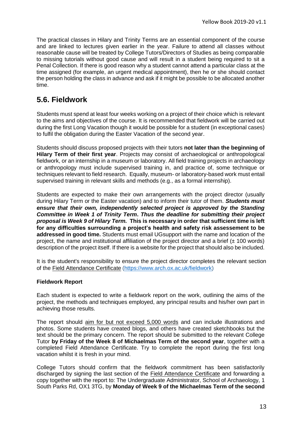The practical classes in Hilary and Trinity Terms are an essential component of the course and are linked to lectures given earlier in the year. Failure to attend all classes without reasonable cause will be treated by College Tutors/Directors of Studies as being comparable to missing tutorials without good cause and will result in a student being required to sit a Penal Collection. If there is good reason why a student cannot attend a particular class at the time assigned (for example, an urgent medical appointment), then he or she should contact the person holding the class in advance and ask if it might be possible to be allocated another time.

## <span id="page-12-0"></span>**5.6. Fieldwork**

Students must spend at least four weeks working on a project of their choice which is relevant to the aims and objectives of the course. It is recommended that fieldwork will be carried out during the first Long Vacation though it would be possible for a student (in exceptional cases) to fulfil the obligation during the Easter Vacation of the second year.

Students should discuss proposed projects with their tutors **not later than the beginning of Hilary Term of their first year**. Projects may consist of archaeological or anthropological fieldwork, or an internship in a museum or laboratory. All field training projects in archaeology or anthropology must include supervised training in, and practice of, some technique or techniques relevant to field research. Equally, museum- or laboratory-based work must entail supervised training in relevant skills and methods (e.g., as a formal internship).

Students are expected to make their own arrangements with the project director (usually during Hilary Term or the Easter vacation) and to inform their tutor of them. *Students must ensure that their own, independently selected project is approved by the Standing Committee in Week 1 of Trinity Term***.** *Thus the deadline for submitting their project proposal is Week 9 of Hilary Term.* **This is necessary in order that sufficient time is left for any difficulties surrounding a project's health and safety risk assessement to be addressed in good time.** Students must email UGsupport with the name and location of the project, the name and institutional affiliation of the project director and a brief  $(\pm 100 \text{ words})$ description of the project itself. If there is a website for the project that should also be included.

It is the student's responsibility to ensure the project director completes the relevant section of the Field Attendance Certificate [\(https://www.arch.ox.ac.uk/fieldwork\)](https://www.arch.ox.ac.uk/fieldwork)

#### **Fieldwork Report**

Each student is expected to write a fieldwork report on the work, outlining the aims of the project, the methods and techniques employed, any principal results and his/her own part in achieving those results.

The report should aim for but not exceed 5,000 words and can include illustrations and photos. Some students have created blogs, and others have created sketchbooks but the text should be the primary concern. The report should be submitted to the relevant College Tutor **by Friday of the Week 8 of Michaelmas Term of the second year**, together with a completed Field Attendance Certificate. Try to complete the report during the first long vacation whilst it is fresh in your mind.

College Tutors should confirm that the fieldwork commitment has been satisfactorily discharged by signing the last section of the [Field Attendance Certificate](http://www.arch.ox.ac.uk/fieldwork-forms.html) and forwarding a copy together with the report to: The Undergraduate Administrator, School of Archaeology, 1 South Parks Rd, OX1 3TG, by **Monday of Week 9 of the Michaelmas Term of the second**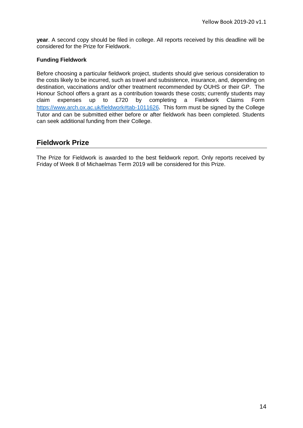**year**. A second copy should be filed in college. All reports received by this deadline will be considered for the Prize for Fieldwork.

#### **Funding Fieldwork**

Before choosing a particular fieldwork project, students should give serious consideration to the costs likely to be incurred, such as travel and subsistence, insurance, and, depending on destination, vaccinations and/or other treatment recommended by OUHS or their GP. The Honour School offers a grant as a contribution towards these costs; currently students may claim expenses up to £720 by completing a Fieldwork Claims Form <https://www.arch.ox.ac.uk/fieldwork#tab-1011626>. This form must be signed by the College Tutor and can be submitted either before or after fieldwork has been completed. Students can seek additional funding from their College.

## **Fieldwork Prize**

The Prize for Fieldwork is awarded to the best fieldwork report. Only reports received by Friday of Week 8 of Michaelmas Term 2019 will be considered for this Prize.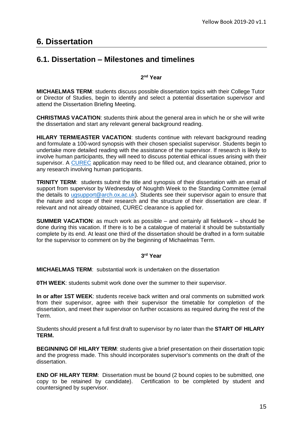## <span id="page-14-0"></span>**6. Dissertation**

## <span id="page-14-1"></span>**6.1. Dissertation – Milestones and timelines**

#### **2 nd Year**

**MICHAELMAS TERM**: students discuss possible dissertation topics with their College Tutor or Director of Studies, begin to identify and select a potential dissertation supervisor and attend the Dissertation Briefing Meeting.

**CHRISTMAS VACATION**: students think about the general area in which he or she will write the dissertation and start any relevant general background reading.

**HILARY TERM/EASTER VACATION**: students continue with relevant background reading and formulate a 100-word synopsis with their chosen specialist supervisor. Students begin to undertake more detailed reading with the assistance of the supervisor. If research is likely to involve human participants, they will need to discuss potential ethical issues arising with their supervisor. A [CUREC](https://www.anthro.ox.ac.uk/safety-fieldwork-and-ethics) application may need to be filled out, and clearance obtained, prior to any research involving human participants.

**TRINITY TERM**: students submit the title and synopsis of their dissertation with an email of support from supervisor by Wednesday of Noughth Week to the Standing Committee (email the details to [ugsupport@arch.ox.ac.uk\)](mailto:ugsupport@arch.ox.ac.uk). Students see their supervisor again to ensure that the nature and scope of their research and the structure of their dissertation are clear. If relevant and not already obtained, CUREC clearance is applied for.

**SUMMER VACATION**: as much work as possible – and certainly all fieldwork – should be done during this vacation. If there is to be a catalogue of material it should be substantially complete by its end. At least one third of the dissertation should be drafted in a form suitable for the supervisor to comment on by the beginning of Michaelmas Term.

#### **3 rd Year**

**MICHAELMAS TERM**: substantial work is undertaken on the dissertation

**OTH WEEK:** students submit work done over the summer to their supervisor.

**In or after 1ST WEEK**: students receive back written and oral comments on submitted work from their supervisor, agree with their supervisor the timetable for completion of the dissertation, and meet their supervisor on further occasions as required during the rest of the Term.

Students should present a full first draft to supervisor by no later than the **START OF HILARY TERM.**

**BEGINNING OF HILARY TERM**: students give a brief presentation on their dissertation topic and the progress made. This should incorporates supervisor's comments on the draft of the dissertation.

**END OF HILARY TERM**: Dissertation must be bound (2 bound copies to be submitted, one copy to be retained by candidate). Certification to be completed by student and countersigned by supervisor.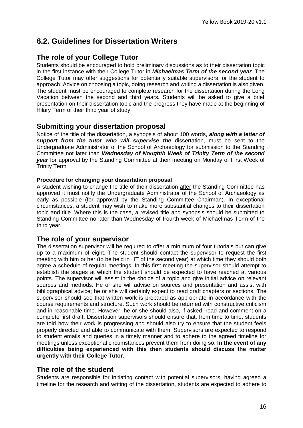## <span id="page-15-0"></span>**6.2. Guidelines for Dissertation Writers**

## **The role of your College Tutor**

Students should be encouraged to hold preliminary discussions as to their dissertation topic in the first instance with their College Tutor in *Michaelmas Term of the second year*. The College Tutor may offer suggestions for potentially suitable supervisors for the student to approach. Advice on choosing a topic, doing research and writing a dissertation is also given. The student must be encouraged to complete research for the dissertation during the Long Vacation between the second and third years. Students will be asked to give a brief presentation on their dissertation topic and the progress they have made at the beginning of Hilary Term of their third year of study.

#### **Submitting your dissertation proposal**

Notice of the title of the dissertation, a synopsis of about 100 words, *along with a letter of support from the tutor who will supervise the* dissertation, must be sent to the Undergraduate Administrator of the School of Archaeology for submission to the Standing Committee not later than *Wednesday of Noughth Week of Trinity Term of the second year* for approval by the Standing Committee at their meeting on Monday of First Week of Trinity Term

#### **Procedure for changing your dissertation proposal**

A student wishing to change the title of their dissertation after the Standing Committee has approved it must notify the Undergraduate Administrator of the School of Archaeology as early as possible (for approval by the Standing Committee Chairman). In exceptional circumstances, a student may wish to make more substantial changes to their dissertation topic and title. Where this is the case, a revised title and synopsis should be submitted to Standing Committee no later than Wednesday of Fourth week of Michaelmas Term of the third year.

#### **The role of your supervisor**

The dissertation supervisor will be required to offer a minimum of four tutorials but can give up to a maximum of eight. The student should contact the supervisor to request the first meeting with him or her (to be held in HT of the second year) at which time they should both agree a schedule of regular meetings. In this first meeting the supervisor should attempt to establish the stages at which the student should be expected to have reached at various points. The supervisor will assist in the choice of a topic and give initial advice on relevant sources and methods. He or she will advise on sources and presentation and assist with bibliographical advice; he or she will certainly expect to read draft chapters or sections. The supervisor should see that written work is prepared as appropriate in accordance with the course requirements and structure. Such work should be returned with constructive criticism and in reasonable time. However, he or she should also, if asked, read and comment on a complete first draft. Dissertation supervisors should ensure that, from time to time, students are told how their work is progressing and should also try to ensure that the student feels properly directed and able to communicate with them. Supervisors are expected to respond to student emails and queries in a timely manner and to adhere to the agreed timeline for meetings unless exceptional circumstances prevent them from doing so. **In the event of any difficulties being experienced with this then students should discuss the matter urgently with their College Tutor.**

#### **The role of the student**

Students are responsible for initiating contact with potential supervisors; having agreed a timeline for the research and writing of the dissertation, students are expected to adhere to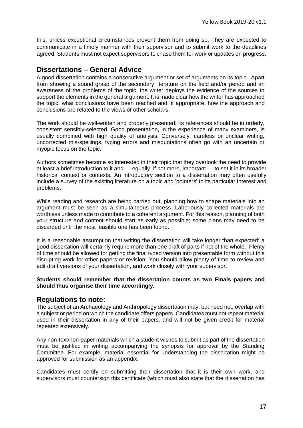this, unless exceptional circumstances prevent them from doing so. They are expected to communicate in a timely manner with their supervisor and to submit work to the deadlines agreed. Students must not expect supervisors to chase them for work or updates on progress.

## **Dissertations – General Advice**

A good dissertation contains a consecutive argument or set of arguments on its topic. Apart from showing a sound grasp of the secondary literature on the field and/or period and an awareness of the problems of the topic, the writer deploys the evidence of the sources to support the elements in the general argument. It is made clear how the writer has approached the topic, what conclusions have been reached and, if appropriate, how the approach and conclusions are related to the views of other scholars.

The work should be well-written and properly presented; its references should be in orderly, consistent sensibly-selected. Good presentation, in the experience of many examiners, is usually combined with high quality of analysis. Conversely, careless or unclear writing, uncorrected mis-spellings, typing errors and misquotations often go with an uncertain or myopic focus on the topic.

Authors sometimes become so interested in their topic that they overlook the need to provide at least a brief introduction to it and — equally, if not more, important — to set it in its broader historical context or contexts. An introductory section to a dissertation may often usefully include a survey of the existing literature on a topic and 'pointers' to its particular interest and problems.

While reading and research are being carried out, planning how to shape materials into an argument must be seen as a simultaneous process. Laboriously collected materials are worthless unless made to contribute to a coherent argument. For this reason, planning of both your structure and content should start as early as possible; some plans may need to be discarded until the most feasible one has been found.

It is a reasonable assumption that writing the dissertation will take longer than expected: a good dissertation will certainly require more than one draft of parts if not of the whole. Plenty of time should be allowed for getting the final typed version into presentable form without this disrupting work for other papers or revision. You should allow plenty of time to review and edit draft versions of your dissertation, and work closely with your supervisor.

#### **Students should remember that the dissertation counts as two Finals papers and should thus organise their time accordingly.**

#### **Regulations to note:**

The subject of an Archaeology and Anthropology dissertation may, but need not, overlap with a subject or period on which the candidate offers papers. Candidates must not repeat material used in their dissertation in any of their papers, and will not be given credit for material repeated extensively.

Any non-text/non-paper materials which a student wishes to submit as part of the dissertation must be justified in writing accompanying the synopsis for approval by the Standing Committee. For example, material essential for understanding the dissertation might be approved for submission as an appendix.

Candidates must certify on submitting their dissertation that it is their own work, and supervisors must countersign this certificate (which must also state that the dissertation has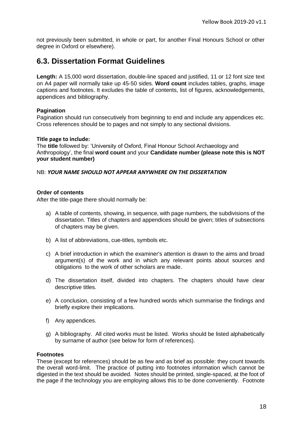not previously been submitted, in whole or part, for another Final Honours School or other degree in Oxford or elsewhere).

## <span id="page-17-0"></span>**6.3. Dissertation Format Guidelines**

**Length:** A 15,000 word dissertation, double-line spaced and justified, 11 or 12 font size text on A4 paper will normally take up 45-50 sides. **Word count** includes tables, graphs, image captions and footnotes. It excludes the table of contents, list of figures, acknowledgements, appendices and bibliography.

#### **Pagination**

Pagination should run consecutively from beginning to end and include any appendices etc. Cross references should be to pages and not simply to any sectional divisions.

#### **Title page to include:**

The **title** followed by: 'University of Oxford, Final Honour School Archaeology and Anthropology', the final **word count** and your **Candidate number (please note this is NOT your student number)**

NB: *YOUR NAME SHOULD NOT APPEAR ANYWHERE ON THE DISSERTATION*

#### **Order of contents**

After the title-page there should normally be:

- a) A table of contents, showing, in sequence, with page numbers, the subdivisions of the dissertation. Titles of chapters and appendices should be given; titles of subsections of chapters may be given.
- b) A list of abbreviations, cue-titles, symbols etc.
- c) A brief introduction in which the examiner's attention is drawn to the aims and broad argument(s) of the work and in which any relevant points about sources and obligations to the work of other scholars are made.
- d) The dissertation itself, divided into chapters. The chapters should have clear descriptive titles.
- e) A conclusion, consisting of a few hundred words which summarise the findings and briefly explore their implications.
- f) Any appendices.
- g) A bibliography. All cited works must be listed. Works should be listed alphabetically by surname of author (see below for form of references).

#### **Footnotes**

These (except for references) should be as few and as brief as possible: they count towards the overall word-limit. The practice of putting into footnotes information which cannot be digested in the text should be avoided. Notes should be printed, single-spaced, at the foot of the page if the technology you are employing allows this to be done conveniently. Footnote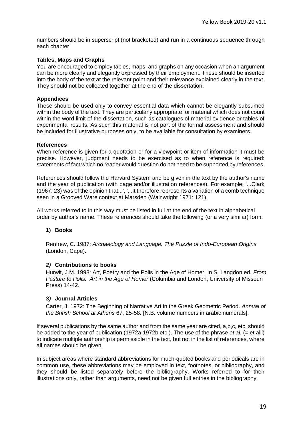numbers should be in superscript (not bracketed) and run in a continuous sequence through each chapter.

#### **Tables, Maps and Graphs**

You are encouraged to employ tables, maps, and graphs on any occasion when an argument can be more clearly and elegantly expressed by their employment. These should be inserted into the body of the text at the relevant point and their relevance explained clearly in the text. They should not be collected together at the end of the dissertation.

#### **Appendices**

These should be used only to convey essential data which cannot be elegantly subsumed within the body of the text. They are particularly appropriate for material which does not count within the word limit of the dissertation, such as catalogues of material evidence or tables of experimental results. As such this material is not part of the formal assessment and should be included for illustrative purposes only, to be available for consultation by examiners.

#### **References**

When reference is given for a quotation or for a viewpoint or item of information it must be precise. However, judgment needs to be exercised as to when reference is required: statements of fact which no reader would question do not need to be supported by references.

References should follow the Harvard System and be given in the text by the author's name and the year of publication (with page and/or illustration references). For example: '...Clark (1967: 23) was of the opinion that...', '...It therefore represents a variation of a comb technique seen in a Grooved Ware context at Marsden (Wainwright 1971: 121).

All works referred to in this way must be listed in full at the end of the text in alphabetical order by author's name. These references should take the following (or a very similar) form:

#### **1) Books**

Renfrew, C. 1987: *Archaeology and Language. The Puzzle of Indo-European Origins* (London, Cape).

#### *2)* **Contributions to books**

Hurwit, J.M. 1993: Art, Poetry and the Polis in the Age of Homer. In S. Langdon ed. *From Pasture to Polis: Art in the Age of Homer* (Columbia and London, University of Missouri Press) 14-42.

#### *3)* **Journal Articles**

Carter, J. 1972: The Beginning of Narrative Art in the Greek Geometric Period. *Annual of the British School at Athens* 67, 25-58. [N.B. volume numbers in arabic numerals].

If several publications by the same author and from the same year are cited, a,b,c, etc. should be added to the year of publication (1972a,1972b etc.). The use of the phrase *et al.* (= et alii) to indicate multiple authorship is permissible in the text, but not in the list of references, where all names should be given.

In subject areas where standard abbreviations for much-quoted books and periodicals are in common use, these abbreviations may be employed in text, footnotes, or bibliography, and they should be listed separately before the bibliography. Works referred to for their illustrations only, rather than arguments, need not be given full entries in the bibliography.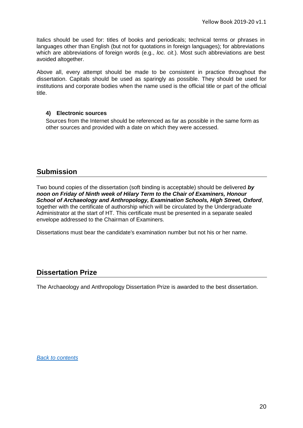Italics should be used for: titles of books and periodicals; technical terms or phrases in languages other than English (but not for quotations in foreign languages); for abbreviations which are abbreviations of foreign words (e.g., *loc. cit*.). Most such abbreviations are best avoided altogether.

Above all, every attempt should be made to be consistent in practice throughout the dissertation. Capitals should be used as sparingly as possible. They should be used for institutions and corporate bodies when the name used is the official title or part of the official title.

#### **4) Electronic sources**

Sources from the Internet should be referenced as far as possible in the same form as other sources and provided with a date on which they were accessed.

## **Submission**

Two bound copies of the dissertation (soft binding is acceptable) should be delivered *by noon on Friday of Ninth week of Hilary Term to the Chair of Examiners, Honour School of Archaeology and Anthropology, Examination Schools, High Street, Oxford*, together with the certificate of authorship which will be circulated by the Undergraduate Administrator at the start of HT. This certificate must be presented in a separate sealed envelope addressed to the Chairman of Examiners.

Dissertations must bear the candidate's examination number but not his or her name.

## **Dissertation Prize**

<span id="page-19-0"></span>The Archaeology and Anthropology Dissertation Prize is awarded to the best dissertation.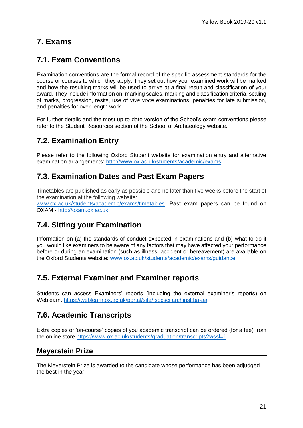## **7. Exams**

## <span id="page-20-0"></span>**7.1. Exam Conventions**

Examination conventions are the formal record of the specific assessment standards for the course or courses to which they apply. They set out how your examined work will be marked and how the resulting marks will be used to arrive at a final result and classification of your award. They include information on: marking scales, marking and classification criteria, scaling of marks, progression, resits, use of *viva voce* examinations, penalties for late submission, and penalties for over-length work.

For further details and the most up-to-date version of the School's exam conventions please refer to the Student Resources section of the School of Archaeology website.

## <span id="page-20-1"></span>**7.2. Examination Entry**

Please refer to the following Oxford Student website for examination entry and alternative examination arrangements:<http://www.ox.ac.uk/students/academic/exams>

## <span id="page-20-2"></span>**7.3. Examination Dates and Past Exam Papers**

Timetables are published as early as possible and no later than five weeks before the start of the examination at the following website:

[www.ox.ac.uk/students/academic/exams/timetables.](http://www.ox.ac.uk/students/academic/exams/timetables) Past exam papers can be found on OXAM - [http://oxam.ox.ac.uk](http://oxam.ox.ac.uk/)

## <span id="page-20-3"></span>**7.4. Sitting your Examination**

Information on (a) the standards of conduct expected in examinations and (b) what to do if you would like examiners to be aware of any factors that may have affected your performance before or during an examination (such as illness, accident or bereavement) are available on the Oxford Students website: [www.ox.ac.uk/students/academic/exams/guidance](http://www.ox.ac.uk/students/academic/exams/guidance)

## <span id="page-20-4"></span>**7.5. External Examiner and Examiner reports**

Students can access Examiners' reports (including the external examiner's reports) on Weblearn. [https://weblearn.ox.ac.uk/portal/site/:socsci:archinst:ba-aa.](https://weblearn.ox.ac.uk/portal/site/:socsci:archinst:ba-aa)

## **7.6. Academic Transcripts**

Extra copies or 'on-course' copies of you academic transcript can be ordered (for a fee) from the online store<https://www.ox.ac.uk/students/graduation/transcripts?wssl=1>

#### **Meyerstein Prize**

The Meyerstein Prize is awarded to the candidate whose performance has been adjudged the best in the year.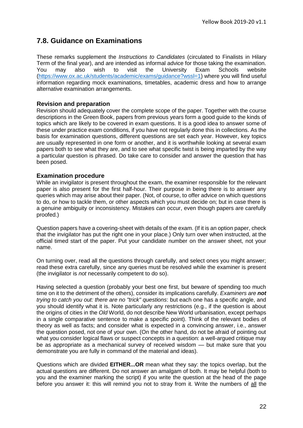## <span id="page-21-0"></span>**7.8. Guidance on Examinations**

These remarks supplement the *Instructions to Candidates* (circulated to Finalists in Hilary Term of the final year), and are intended as informal advice for those taking the examination. You may also wish to visit the University Exam Schools website [\(https://www.ox.ac.uk/students/academic/exams/guidance?wssl=1\)](https://www.ox.ac.uk/students/academic/exams/guidance?wssl=1) where you will find useful information regarding mock examinations, timetables, academic dress and how to arrange alternative examination arrangements.

#### **Revision and preparation**

Revision should adequately cover the complete scope of the paper. Together with the course descriptions in the Green Book, papers from previous years form a good guide to the kinds of topics which are likely to be covered in exam questions. It is a good idea to answer some of these under practice exam conditions, if you have not regularly done this in collections. As the basis for examination questions, different questions are set each year. However, key topics are usually represented in one form or another, and it is worthwhile looking at several exam papers both to see what they are, and to see what specific twist is being imparted by the way a particular question is phrased. Do take care to consider and answer the question that has been posed.

#### **Examination procedure**

While an invigilator is present throughout the exam, the examiner responsible for the relevant paper is also present for the first half-hour. Their purpose in being there is to answer any queries which may arise about their paper. (Not, of course, to offer advice on which questions to do, or how to tackle them, or other aspects which you must decide on; but in case there is a genuine ambiguity or inconsistency. Mistakes *can* occur, even though papers are carefully proofed.)

Question papers have a covering-sheet with details of the exam. (If it is an option paper, check that the invigilator has put the right one in your place.) Only turn over when instructed, at the official timed start of the paper. Put your candidate number on the answer sheet, not your name.

On turning over, read all the questions through carefully, and select ones you might answer; read these extra carefully, since any queries must be resolved while the examiner is present (the invigilator is *not* necessarily competent to do so).

Having selected a question (probably your best one first, but beware of spending too much time on it to the detriment of the others), consider its implications carefully. *Examiners are not trying to catch you out: there are no "trick" questions*: but each one has a specific angle, and you should identify what it is. Note particularly any restrictions (e.g., if the question is about the origins of cities in the *Old* World, do not describe New World urbanisation, except perhaps in a single comparative sentence to make a specific point). Think of the relevant bodies of theory as well as facts; and consider what is expected in a convincing answer, i.e., answer the question posed, not one of your own. (On the other hand, do not be afraid of pointing out what you consider logical flaws or suspect concepts in a question: a well-argued critique may be as appropriate as a mechanical survey of received wisdom — but make sure that you demonstrate you are fully in command of the material and ideas).

Questions which are divided **EITHER...OR** mean what they say: the topics overlap, but the actual questions are different. Do not answer an amalgam of both. It may be helpful (both to you and the examiner marking the script) if you write the question at the head of the page before you answer it: this will remind you not to stray from it. Write the numbers of all the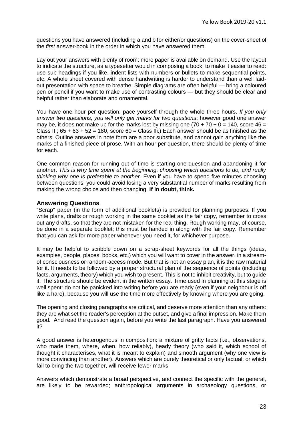questions you have answered (including a and b for either/or questions) on the cover-sheet of the *first* answer-book in the order in which you have answered them.

Lay out your answers with plenty of room: more paper is available on demand. Use the layout to indicate the structure, as a typesetter would in composing a book, to make it easier to read: use sub-headings if you like, indent lists with numbers or bullets to make sequential points, etc. A whole sheet covered with dense handwriting is harder to understand than a well laidout presentation with space to breathe. Simple diagrams are often helpful — bring a coloured pen or pencil if you want to make use of contrasting colours — but they should be clear and helpful rather than elaborate and ornamental.

You have one hour per question: pace yourself through the whole three hours. *If you only answer two questions, you will only get marks for two questions*; however good one answer may be, it does not make up for the marks lost by missing one  $(70 + 70 + 0 = 140)$ , score 46 = Class III;  $65 + 63 + 52 = 180$ , score  $60 =$  Class III.) Each answer should be as finished as the others. Outline answers in note form are a poor substitute, and cannot gain anything like the marks of a finished piece of prose. With an hour per question, there should be plenty of time for each.

One common reason for running out of time is starting one question and abandoning it for another. *This is why time spent at the beginning, choosing which questions to do, and really thinking why one is preferable to another.* Even if you have to spend five minutes choosing between questions, you could avoid losing a very substantial number of marks resulting from making the wrong choice and then changing. **If in doubt, think.**

#### **Answering Questions**

"Scrap" paper (in the form of additional booklets) is provided for planning purposes. If you write plans, drafts or rough working in the same booklet as the fair copy, remember to cross out any drafts, so that they are not mistaken for the real thing. Rough working may, of course, be done in a separate booklet; this must be handed in along with the fair copy. Remember that you can ask for more paper whenever you need it, for whichever purpose.

It may be helpful to scribble down on a scrap-sheet keywords for all the things (ideas, examples, people, places, books, etc.) which you will want to cover in the answer, in a streamof consciousness or random-access mode. But that is not an essay plan, it is the raw material for it. It needs to be followed by a proper structural plan of the sequence of points (including facts, arguments, theory) which you wish to present. This is not to inhibit creativity, but to guide it. The structure should be evident in the written essay. Time used in planning at this stage is well spent: do not be panicked into writing before you are ready (even if your neighbour is off like a hare), because you will use the time more effectively by knowing where you are going.

The opening and closing paragraphs are critical, and deserve more attention than any others: they are what set the reader's perception at the outset, and give a final impression. Make them good. And read the question again, before you write the last paragraph. Have you answered it?

A good answer is heterogenous in composition: a mixture of gritty facts (i.e., observations, who made them, where, when, how reliably), heady theory (who said it, which school of thought it characterises, what it is meant to explain) and smooth argument (why one view is more convincing than another). Answers which are purely theoretical or only factual, or which fail to bring the two together, will receive fewer marks.

Answers which demonstrate a broad perspective, and connect the specific with the general, are likely to be rewarded; anthropological arguments in archaeology questions, or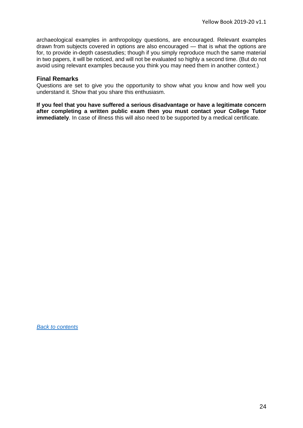archaeological examples in anthropology questions, are encouraged. Relevant examples drawn from subjects covered in options are also encouraged — that is what the options are for, to provide in-depth casestudies; though if you simply reproduce much the same material in two papers, it will be noticed, and will not be evaluated so highly a second time. (But do not avoid using relevant examples because you think you may need them in another context.)

#### **Final Remarks**

Questions are set to give you the opportunity to show what you know and how well you understand it. Show that you share this enthusiasm.

**If you feel that you have suffered a serious disadvantage or have a legitimate concern after completing a written public exam then you must contact your College Tutor immediately**. In case of illness this will also need to be supported by a medical certificate.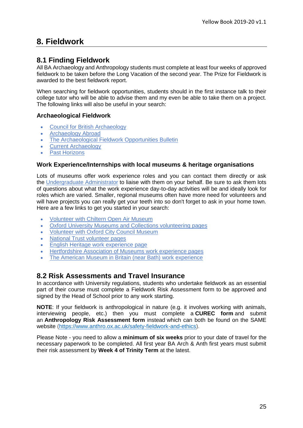## <span id="page-24-0"></span>**8. Fieldwork**

## <span id="page-24-1"></span>**8.1 Finding Fieldwork**

All BA Archaeology and Anthropology students must complete at least four weeks of approved fieldwork to be taken before the Long Vacation of the second year. The [Prize for Fieldwork](http://www.arch.ox.ac.uk/current-undergraduates-prizes.html) is awarded to the best fieldwork report.

When searching for fieldwork opportunities, students should in the first instance talk to their college tutor who will be able to advise them and my even be able to take them on a project. The following links will also be useful in your search:

#### **Archaeological Fieldwork**

- [Council for British Archaeology](http://new.archaeologyuk.org/fieldwork-and-conferences/)
- [Archaeology Abroad](http://www.projects-abroad.co.uk/volunteer-projects/archaeology/)
- [The Archaeological Fieldwork Opportunities Bulletin](https://www.archaeological.org/fieldwork/afob)
- [Current Archaeology](http://www.archaeology.co.uk/)
- [Past Horizons](mailto:http://www.pasthorizons.com/worldprojects/defaultSearch.asp)

#### **Work Experience/Internships with local museums & heritage organisations**

Lots of museums offer work experience roles and you can contact them directly or ask the [Undergraduate Administrator](mailto:ugsupport@arch.ox.ac.uk) to liaise with them on your behalf. Be sure to ask them lots of questions about what the work experience day-to-day activities will be and ideally look for roles which are varied. Smaller, regional museums often have more need for volunteers and will have projects you can really get your teeth into so don't forget to ask in your home town. Here are a few links to get you started in your search:

- [Volunteer with Chiltern Open Air Museum](https://www.coam.org.uk/get-involved/volunteering/)
- [Oxford University Museums and Collections volunteering pages](http://www.museums.ox.ac.uk/volunteers)
- [Volunteer with Oxford City Council Museum](https://www.oxford.gov.uk/info/20204/about_us/793/volunteer_with_us)
- [National Trust volunteer pages](https://www.nationaltrust.org.uk/ways-to-volunteer)
- [English Heritage work experience page](http://www.english-heritage.org.uk/support-us/volunteer/about-volunteering/)
- [Hertfordshire Association of Museums work experience pages](http://www.hertfordshiremuseums.org.uk/museum-services.php?id=9)
- [The American Museum in Britain \(near Bath\) work experience](https://americanmuseum.org/about-the-museum/get-involved/work-experience/)

#### <span id="page-24-2"></span>**8.2 Risk Assessments and Travel Insurance**

In accordance with University regulations, students who undertake fieldwork as an essential part of their course must complete a Fieldwork Risk Assessment form to be approved and signed by the Head of School prior to any work starting.

**NOTE**: If your fieldwork is anthropological in nature (e.g. it involves working with animals, interviewing people, etc.) then you must complete a **CUREC form** and submit an **Anthropology Risk Assessment form** instead which can both be found on the SAME website [\(https://www.anthro.ox.ac.uk/safety-fieldwork-and-ethics\)](https://www.anthro.ox.ac.uk/safety-fieldwork-and-ethics).

Please Note - you need to allow a **minimum of six weeks** prior to your date of travel for the necessary paperwork to be completed. All first year BA Arch & Anth first years must submit their risk assessment by **Week 4 of Trinity Term** at the latest.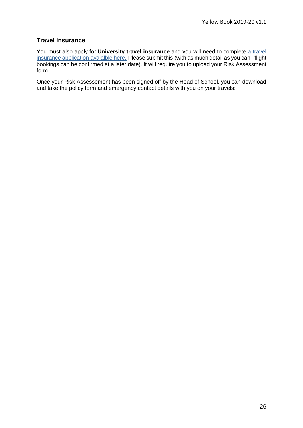#### **Travel Insurance**

You must also apply for **University travel insurance** and you will need to complete [a travel](https://travelinsurance.admin.ox.ac.uk/LandingPage/LandingPage)  [insurance application](https://travelinsurance.admin.ox.ac.uk/LandingPage/LandingPage) avaialble here. Please submit this (with as much detail as you can - flight bookings can be confirmed at a later date). It will require you to upload your Risk Assessment form.

Once your Risk Assessement has been signed off by the Head of School, you can download and take the policy form and emergency contact details with you on your travels: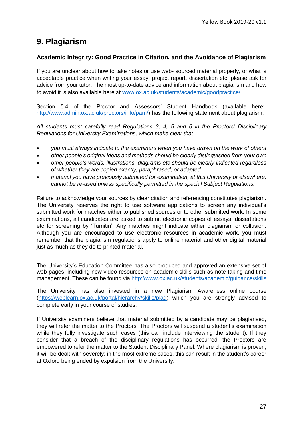## <span id="page-26-0"></span>**9. Plagiarism**

#### **Academic Integrity: Good Practice in Citation, and the Avoidance of Plagiarism**

If you are unclear about how to take notes or use web- sourced material properly, or what is acceptable practice when writing your essay, project report, dissertation etc, please ask for advice from your tutor. The most up-to-date advice and information about plagiarism and how to avoid it is also available here at [www.ox.ac.uk/students/academic/goodpractice/](http://www.ox.ac.uk/students/academic/goodpractice/)

Section 5.4 of the Proctor and Assessors' Student Handbook (available here: [http://www.admin.ox.ac.uk/proctors/info/pam/\)](http://www.admin.ox.ac.uk/proctors/info/pam/) has the following statement about plagiarism:

*All students must carefully read Regulations 3, 4, 5 and 6 in the Proctors' Disciplinary Regulations for University Examinations, which make clear that:*

- *you must always indicate to the examiners when you have drawn on the work of others*
- *other people's original ideas and methods should be clearly distinguished from your own*
- *other people's words, illustrations, diagrams etc should be clearly indicated regardless of whether they are copied exactly, paraphrased, or adapted*
- *material you have previously submitted for examination, at this University or elsewhere, cannot be re-used unless specifically permitted in the special Subject Regulations.*

Failure to acknowledge your sources by clear citation and referencing constitutes plagiarism. The University reserves the right to use software applications to screen any individual's submitted work for matches either to published sources or to other submitted work. In some examinations, all candidates are asked to submit electronic copies of essays, dissertations etc for screening by 'Turnitin'. Any matches might indicate either plagiarism or collusion. Although you are encouraged to use electronic resources in academic work, you must remember that the plagiarism regulations apply to online material and other digital material just as much as they do to printed material.

The University's Education Committee has also produced and approved an extensive set of web pages, including new video resources on academic skills such as note-taking and time management. These can be found via<http://www.ox.ac.uk/students/academic/guidance/skills>

The University has also invested in a new Plagiarism Awareness online course [\(https://weblearn.ox.ac.uk/portal/hierarchy/skills/plag\)](https://weblearn.ox.ac.uk/portal/hierarchy/skills/plag) which you are strongly advised to complete early in your course of studies.

If University examiners believe that material submitted by a candidate may be plagiarised, they will refer the matter to the Proctors. The Proctors will suspend a student's examination while they fully investigate such cases (this can include interviewing the student). If they consider that a breach of the disciplinary regulations has occurred, the Proctors are empowered to refer the matter to the Student Disciplinary Panel. Where plagiarism is proven, it will be dealt with severely: in the most extreme cases, this can result in the student's career at Oxford being ended by expulsion from the University.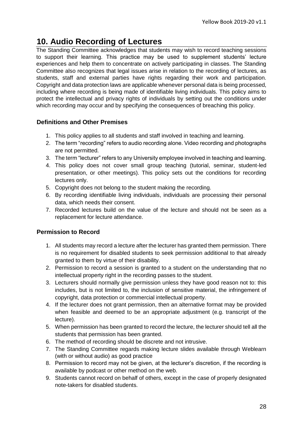## <span id="page-27-0"></span>**10. Audio Recording of Lectures**

The Standing Committee acknowledges that students may wish to record teaching sessions to support their learning. This practice may be used to supplement students' lecture experiences and help them to concentrate on actively participating in classes. The Standing Committee also recognizes that legal issues arise in relation to the recording of lectures, as students, staff and external parties have rights regarding their work and participation. Copyright and data protection laws are applicable whenever personal data is being processed, including where recording is being made of identifiable living individuals. This policy aims to protect the intellectual and privacy rights of individuals by setting out the conditions under which recording may occur and by specifying the consequences of breaching this policy.

#### **Definitions and Other Premises**

- 1. This policy applies to all students and staff involved in teaching and learning.
- 2. The term "recording" refers to audio recording alone. Video recording and photographs are not permitted.
- 3. The term "lecturer" refers to any University employee involved in teaching and learning.
- 4. This policy does not cover small group teaching (tutorial, seminar, student-led presentation, or other meetings). This policy sets out the conditions for recording lectures only.
- 5. Copyright does not belong to the student making the recording.
- 6. By recording identifiable living individuals, individuals are processing their personal data, which needs their consent.
- 7. Recorded lectures build on the value of the lecture and should not be seen as a replacement for lecture attendance.

#### **Permission to Record**

- 1. All students may record a lecture after the lecturer has granted them permission. There is no requirement for disabled students to seek permission additional to that already granted to them by virtue of their disability.
- 2. Permission to record a session is granted to a student on the understanding that no intellectual property right in the recording passes to the student.
- 3. Lecturers should normally give permission unless they have good reason not to: this includes, but is not limited to, the inclusion of sensitive material, the infringement of copyright, data protection or commercial intellectual property.
- 4. If the lecturer does not grant permission, then an alternative format may be provided when feasible and deemed to be an appropriate adjustment (e.g. transcript of the lecture).
- 5. When permission has been granted to record the lecture, the lecturer should tell all the students that permission has been granted.
- 6. The method of recording should be discrete and not intrusive.
- 7. The Standing Committee regards making lecture slides available through Weblearn (with or without audio) as good practice
- 8. Permission to record may not be given, at the lecturer's discretion, if the recording is available by podcast or other method on the web.
- 9. Students cannot record on behalf of others, except in the case of properly designated note-takers for disabled students.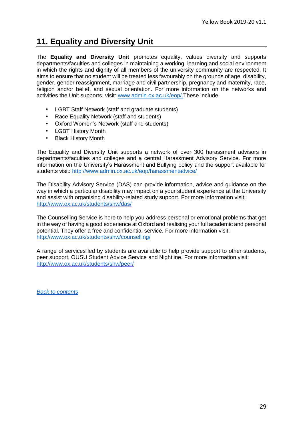## <span id="page-28-0"></span>**11. Equality and Diversity Unit**

The **Equality and Diversity Unit** promotes equality, values diversity and supports departments/faculties and colleges in maintaining a working, learning and social environment in which the rights and dignity of all members of the university community are respected. It aims to ensure that no student will be treated less favourably on the grounds of age, disability, gender, gender reassignment, marriage and civil partnership, pregnancy and maternity, race, religion and/or belief, and sexual orientation. For more information on the networks and activities the Unit supports, visit: [www.admin.ox.ac.uk/eop/.T](http://www.admin.ox.ac.uk/eop/)hese include:

- LGBT Staff Network (staff and graduate students)
- Race Equality Network (staff and students)
- Oxford Women's Network (staff and students)
- **LGBT History Month**
- Black History Month

The Equality and Diversity Unit supports a network of over 300 harassment advisors in departments/faculties and colleges and a central Harassment Advisory Service. For more information on the University's Harassment and Bullying policy and the support available for students visit:<http://www.admin.ox.ac.uk/eop/harassmentadvice/>

The Disability Advisory Service (DAS) can provide information, advice and guidance on the way in which a particular disability may impact on a your student experience at the University and assist with organising disability-related study support. For more information visit: <http://www.ox.ac.uk/students/shw/das/>

The Counselling Service is here to help you address personal or emotional problems that get in the way of having a good experience at Oxford and realising your full academic and personal potential. They offer a free and confidential service. For more information visit: <http://www.ox.ac.uk/students/shw/counselling/>

A range of services led by students are available to help provide support to other students, peer support, OUSU Student Advice Service and Nightline. For more information visit: <http://www.ox.ac.uk/students/shw/peer/>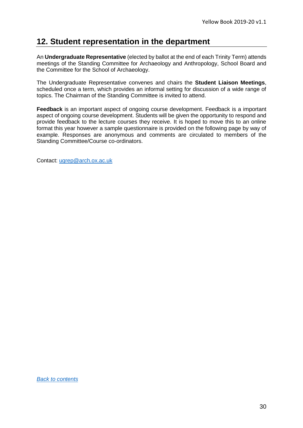## <span id="page-29-0"></span>**12. Student representation in the department**

An **Undergraduate Representative** (elected by ballot at the end of each Trinity Term) attends meetings of the Standing Committee for Archaeology and Anthropology, School Board and the Committee for the School of Archaeology.

The Undergraduate Representative convenes and chairs the **Student Liaison Meetings**, scheduled once a term, which provides an informal setting for discussion of a wide range of topics. The Chairman of the Standing Committee is invited to attend.

**Feedback** is an important aspect of ongoing course development. Feedback is a important aspect of ongoing course development. Students will be given the opportunity to respond and provide feedback to the lecture courses they receive. It is hoped to move this to an online format this year however a sample questionnaire is provided on the following page by way of example. Responses are anonymous and comments are circulated to members of the Standing Committee/Course co-ordinators.

Contact: [ugrep@arch.ox.ac.uk](mailto:ugrep@arch.ox.ac.uk)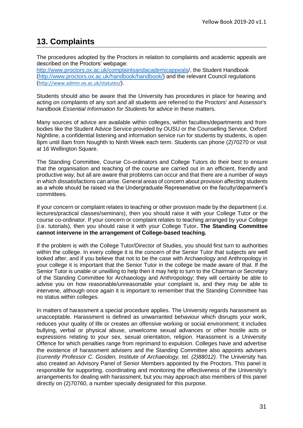## <span id="page-30-0"></span>**13. Complaints**

The procedures adopted by the Proctors in relation to complaints and academic appeals are described on the Proctors' webpage:

[http://www.proctors.ox.ac.uk/complaintsandacademicappeals/](http://www.proctors.ox.ac.uk/complaintsandacademicappeals), the Student Handbook [\(http://www.proctors.ox.ac.uk/handbook/handbook/\)](http://www.proctors.ox.ac.uk/handbook/handbook/) and the relevant Council regulations (<http://www.admin.ox.ac.uk/statutes/>).

Students should also be aware that the University has procedures in place for hearing and acting on complaints of any sort and all students are referred to the Proctors' and Assessor's handbook *Essential Information for Students* for advice in these matters.

Many sources of advice are available within colleges, within faculties/departments and from bodies like the Student Advice Service provided by OUSU or the Counselling Service. Oxford Nightline, a confidential listening and information service run for students by students, is open 8pm until 8am from Noughth to Ninth Week each term. Students can phone (2)70270 or visit at 16 Wellington Square.

The Standing Committee, Course Co-ordinators and College Tutors do their best to ensure that the organisation and teaching of the course are carried out in an efficient, friendly and productive way, but all are aware that problems can occur and that there are a number of ways in which dissatisfactions can arise. General areas of concern about provision affecting students as a whole should be raised via the Undergraduate Represenative on the faculty/deparment's committees.

If your concern or complaint relates to teaching or other provision made by the department (i.e. lectures/practical classes/seminars), then you should raise it with your College Tutor or the course co-ordinator. If your concern or complaint relates to teaching arranged by your College (i.e. tutorials), then you should raise it with your College Tutor**. The Standing Committee cannot intervene in the arrangement of College-based teaching.**

If the problem is with the College Tutor/Director of Studies, you should first turn to authorities within the college. In every college it is the concern of the Senior Tutor that subjects are well looked after, and if you believe that not to be the case with Archaeology and Anthropology in your college it is important that the Senior Tutor in the college be made aware of that. If the Senior Tutor is unable or unwilling to help then it may help to turn to the Chairman or Secretary of the Standing Committee for Archaeology and Anthropology; they will certainly be able to advise you on how reasonable/unreasonable your complaint is, and they may be able to intervene, although once again it is important to remember that the Standing Committee has no status within colleges.

In matters of harassment a special procedure applies. The University regards harassment as unacceptable. Harassment is defined as unwarranted behaviour which disrupts your work, reduces your quality of life or creates an offensive working or social environment; it includes bullying, verbal or physical abuse, unwelcome sexual advances or other hostile acts or expressions relating to your sex, sexual orientation, religion. Harassment is a University Offence for which penalties range from reprimand to expulsion. Colleges have and advertise the existence of harassment advisers and the Standing Committee also appoints advisers *(currently Professor C. Gosden, Institute of Archaeology, tel. (2)88012).* The University has also created an Advisory Panel of Senior Members appointed by the Proctors. This panel is responsible for supporting, coordinating and monitoring the effectiveness of the University's arrangements for dealing with harassment, but you may approach also members of this panel directly on (2)70760, a number specially designated for this purpose.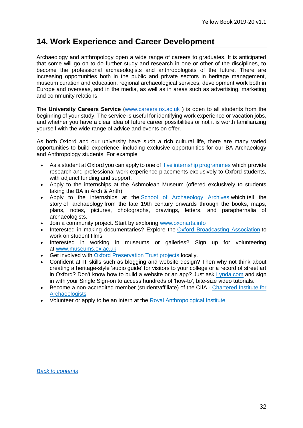## <span id="page-31-0"></span>**14. Work Experience and Career Development**

Archaeology and anthropology open a wide range of careers to graduates. It is anticipated that some will go on to do further study and research in one or other of the disciplines, to become the professional archaeologists and anthropologists of the future. There are increasing opportunities both in the public and private sectors in heritage management, museum curation and education, regional archaeological services, development work both in Europe and overseas, and in the media, as well as in areas such as advertising, marketing and community relations.

The **University Careers Service** [\(www.careers.ox.ac.uk](http://www.careers.ox.ac.uk/) ) is open to all students from the beginning of your study. The service is useful for identifying work experience or vacation jobs, and whether you have a clear idea of future career possibilities or not it is worth familiarizing yourself with the wide range of advice and events on offer.

As both Oxford and our university have such a rich cultural life, there are many varied opportunities to build experience, including exclusive opportunities for our BA Archaeology and Anthropology students. For example

- As a student at Oxford you can apply to one of [five internship programmes](http://www.careers.ox.ac.uk/about-the-internship-office/) which provide research and professional work experience placements exclusively to Oxford students, with adjunct funding and support.
- Apply to the internships at the Ashmolean Museum (offered exclusively to students taking the BA in Arch & Anth)
- Apply to the internships at the [School of Archaeology Archives](https://archaeologyarchivesoxford.wordpress.com/) which tell the story of archaeology from the late 19th century onwards through the books, maps, plans, notes, pictures, photographs, drawings, letters, and paraphernalia of archaeologists.
- Join a community project. Start by exploring [www.oxonarts.info](http://www.oxonarts.info/)
- Interested in making documentaries? Explore the [Oxford Broadcasting Association](https://ousu.org/organisation/7440/) to work on student films
- Interested in working in museums or galleries? Sign up for volunteering at [www.museums.ox.ac.uk](http://www.museums.ox.ac.uk/volunteers)
- Get involved with [Oxford Preservation Trust projects](http://www.oxfordpreservation.org.uk/) locally.
- Confident at IT skills such as blogging and website design? Then why not think about creating a heritage-style 'audio guide' for visitors to your college or a record of street art in Oxford? Don't know how to build a website or an app? Just ask [Lynda.com](http://help.it.ox.ac.uk/courses/lynda/index) and sign in with your Single Sign-on to access hundreds of 'how-to', bite-size video tutorials.
- Become a non-accredited member (student/affiliate) of the CIfA [Chartered Institute for](http://www.archaeologists.net/join/individual)  [Archaeologists](http://www.archaeologists.net/join/individual)
- Volunteer or apply to be an intern at the [Royal Anthropological Institute](https://www.therai.org.uk/about-the-rai/getting-involved)